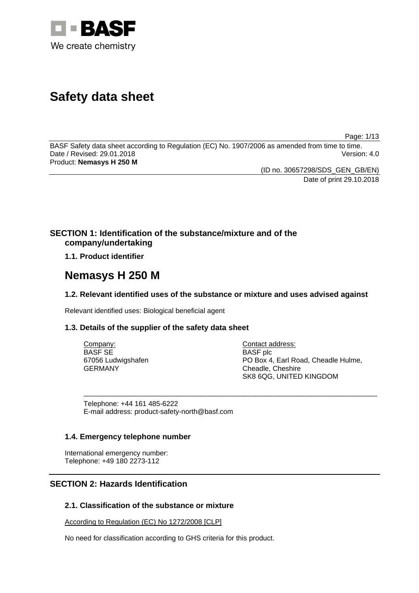

# **Safety data sheet**

Page: 1/13

BASF Safety data sheet according to Regulation (EC) No. 1907/2006 as amended from time to time. Date / Revised: 29.01.2018 Version: 4.0 Product: **Nemasys H 250 M**

> (ID no. 30657298/SDS\_GEN\_GB/EN) Date of print 29.10.2018

# **SECTION 1: Identification of the substance/mixture and of the company/undertaking**

**1.1. Product identifier**

# **Nemasys H 250 M**

# **1.2. Relevant identified uses of the substance or mixture and uses advised against**

Relevant identified uses: Biological beneficial agent

# **1.3. Details of the supplier of the safety data sheet**

| Company:           | Contact address:                    |
|--------------------|-------------------------------------|
| BASF SE            | <b>BASF</b> plc                     |
| 67056 Ludwigshafen | PO Box 4, Earl Road, Cheadle Hulme, |
| GERMANY            | Cheadle, Cheshire                   |
|                    | SK8 6QG, UNITED KINGDOM             |

\_\_\_\_\_\_\_\_\_\_\_\_\_\_\_\_\_\_\_\_\_\_\_\_\_\_\_\_\_\_\_\_\_\_\_\_\_\_\_\_\_\_\_\_\_\_\_\_\_\_\_\_\_\_\_\_\_\_\_\_\_\_\_\_\_\_\_\_\_\_\_\_\_\_\_

Telephone: +44 161 485-6222 E-mail address: product-safety-north@basf.com

# **1.4. Emergency telephone number**

International emergency number: Telephone: +49 180 2273-112

# **SECTION 2: Hazards Identification**

# **2.1. Classification of the substance or mixture**

According to Regulation (EC) No 1272/2008 [CLP]

No need for classification according to GHS criteria for this product.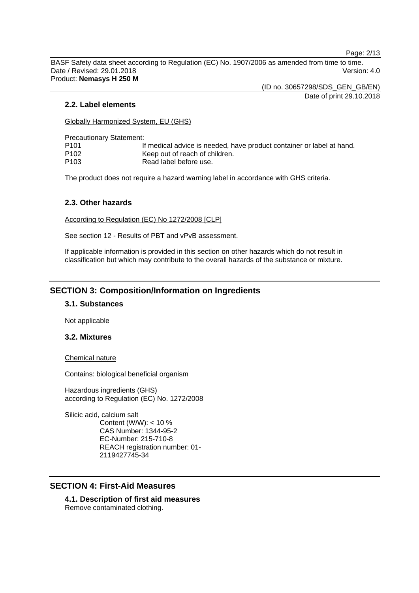Page: 2/13

BASF Safety data sheet according to Regulation (EC) No. 1907/2006 as amended from time to time. Date / Revised: 29.01.2018 Version: 4.0 Product: **Nemasys H 250 M**

(ID no. 30657298/SDS\_GEN\_GB/EN)

Date of print 29.10.2018

### **2.2. Label elements**

Globally Harmonized System, EU (GHS)

Precautionary Statement:

| P101 | If medical advice is needed, have product container or label at hand. |
|------|-----------------------------------------------------------------------|
| P102 | Keep out of reach of children.                                        |
| P103 | Read label before use.                                                |

The product does not require a hazard warning label in accordance with GHS criteria.

### **2.3. Other hazards**

According to Regulation (EC) No 1272/2008 [CLP]

See section 12 - Results of PBT and vPvB assessment.

If applicable information is provided in this section on other hazards which do not result in classification but which may contribute to the overall hazards of the substance or mixture.

# **SECTION 3: Composition/Information on Ingredients**

### **3.1. Substances**

Not applicable

#### **3.2. Mixtures**

Chemical nature

Contains: biological beneficial organism

Hazardous ingredients (GHS) according to Regulation (EC) No. 1272/2008

Silicic acid, calcium salt Content (W/W): < 10 % CAS Number: 1344-95-2 EC-Number: 215-710-8 REACH registration number: 01- 2119427745-34

# **SECTION 4: First-Aid Measures**

**4.1. Description of first aid measures** Remove contaminated clothing.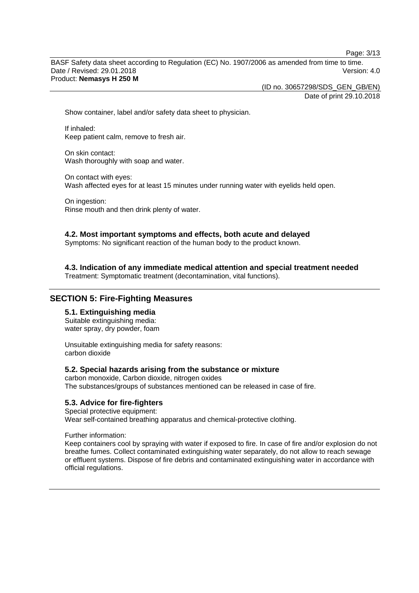Page: 3/13

BASF Safety data sheet according to Regulation (EC) No. 1907/2006 as amended from time to time. Date / Revised: 29.01.2018 Version: 4.0 Product: **Nemasys H 250 M**

(ID no. 30657298/SDS\_GEN\_GB/EN)

Date of print 29.10.2018

Show container, label and/or safety data sheet to physician.

If inhaled: Keep patient calm, remove to fresh air.

On skin contact: Wash thoroughly with soap and water.

On contact with eyes: Wash affected eyes for at least 15 minutes under running water with eyelids held open.

On ingestion: Rinse mouth and then drink plenty of water.

#### **4.2. Most important symptoms and effects, both acute and delayed**

Symptoms: No significant reaction of the human body to the product known.

**4.3. Indication of any immediate medical attention and special treatment needed**

Treatment: Symptomatic treatment (decontamination, vital functions).

# **SECTION 5: Fire-Fighting Measures**

# **5.1. Extinguishing media**

Suitable extinguishing media: water spray, dry powder, foam

Unsuitable extinguishing media for safety reasons: carbon dioxide

#### **5.2. Special hazards arising from the substance or mixture**

carbon monoxide, Carbon dioxide, nitrogen oxides The substances/groups of substances mentioned can be released in case of fire.

#### **5.3. Advice for fire-fighters**

Special protective equipment: Wear self-contained breathing apparatus and chemical-protective clothing.

Further information:

Keep containers cool by spraying with water if exposed to fire. In case of fire and/or explosion do not breathe fumes. Collect contaminated extinguishing water separately, do not allow to reach sewage or effluent systems. Dispose of fire debris and contaminated extinguishing water in accordance with official regulations.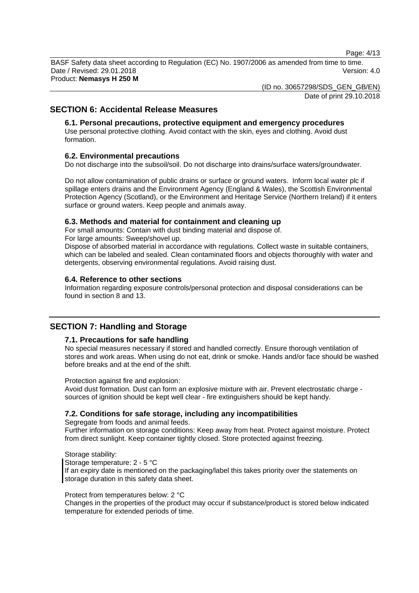Page: 4/13

BASF Safety data sheet according to Regulation (EC) No. 1907/2006 as amended from time to time. Date / Revised: 29.01.2018 Version: 4.0 Product: **Nemasys H 250 M**

(ID no. 30657298/SDS\_GEN\_GB/EN)

Date of print 29.10.2018

# **SECTION 6: Accidental Release Measures**

## **6.1. Personal precautions, protective equipment and emergency procedures**

Use personal protective clothing. Avoid contact with the skin, eyes and clothing. Avoid dust formation.

#### **6.2. Environmental precautions**

Do not discharge into the subsoil/soil. Do not discharge into drains/surface waters/groundwater.

Do not allow contamination of public drains or surface or ground waters. Inform local water plc if spillage enters drains and the Environment Agency (England & Wales), the Scottish Environmental Protection Agency (Scotland), or the Environment and Heritage Service (Northern Ireland) if it enters surface or ground waters. Keep people and animals away.

#### **6.3. Methods and material for containment and cleaning up**

For small amounts: Contain with dust binding material and dispose of.

For large amounts: Sweep/shovel up.

Dispose of absorbed material in accordance with regulations. Collect waste in suitable containers, which can be labeled and sealed. Clean contaminated floors and objects thoroughly with water and detergents, observing environmental regulations. Avoid raising dust.

#### **6.4. Reference to other sections**

Information regarding exposure controls/personal protection and disposal considerations can be found in section 8 and 13.

# **SECTION 7: Handling and Storage**

#### **7.1. Precautions for safe handling**

No special measures necessary if stored and handled correctly. Ensure thorough ventilation of stores and work areas. When using do not eat, drink or smoke. Hands and/or face should be washed before breaks and at the end of the shift.

Protection against fire and explosion:

Avoid dust formation. Dust can form an explosive mixture with air. Prevent electrostatic charge sources of ignition should be kept well clear - fire extinguishers should be kept handy.

# **7.2. Conditions for safe storage, including any incompatibilities**

Segregate from foods and animal feeds.

Further information on storage conditions: Keep away from heat. Protect against moisture. Protect from direct sunlight. Keep container tightly closed. Store protected against freezing.

Storage stability: Storage temperature: 2 - 5 °C If an expiry date is mentioned on the packaging/label this takes priority over the statements on storage duration in this safety data sheet.

#### Protect from temperatures below: 2 °C

Changes in the properties of the product may occur if substance/product is stored below indicated temperature for extended periods of time.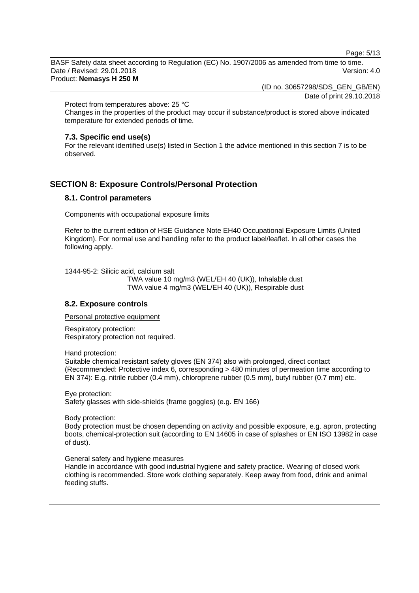Page: 5/13

BASF Safety data sheet according to Regulation (EC) No. 1907/2006 as amended from time to time. Date / Revised: 29.01.2018 Version: 4.0 Product: **Nemasys H 250 M**

(ID no. 30657298/SDS\_GEN\_GB/EN)

Date of print 29.10.2018

Protect from temperatures above: 25 °C

Changes in the properties of the product may occur if substance/product is stored above indicated temperature for extended periods of time.

#### **7.3. Specific end use(s)**

For the relevant identified use(s) listed in Section 1 the advice mentioned in this section 7 is to be observed.

# **SECTION 8: Exposure Controls/Personal Protection**

# **8.1. Control parameters**

Components with occupational exposure limits

Refer to the current edition of HSE Guidance Note EH40 Occupational Exposure Limits (United Kingdom). For normal use and handling refer to the product label/leaflet. In all other cases the following apply.

1344-95-2: Silicic acid, calcium salt

TWA value 10 mg/m3 (WEL/EH 40 (UK)), Inhalable dust TWA value 4 mg/m3 (WEL/EH 40 (UK)), Respirable dust

# **8.2. Exposure controls**

Personal protective equipment

Respiratory protection: Respiratory protection not required.

Hand protection:

Suitable chemical resistant safety gloves (EN 374) also with prolonged, direct contact (Recommended: Protective index 6, corresponding > 480 minutes of permeation time according to EN 374): E.g. nitrile rubber (0.4 mm), chloroprene rubber (0.5 mm), butyl rubber (0.7 mm) etc.

Eye protection: Safety glasses with side-shields (frame goggles) (e.g. EN 166)

Body protection:

Body protection must be chosen depending on activity and possible exposure, e.g. apron, protecting boots, chemical-protection suit (according to EN 14605 in case of splashes or EN ISO 13982 in case of dust).

#### General safety and hygiene measures

Handle in accordance with good industrial hygiene and safety practice. Wearing of closed work clothing is recommended. Store work clothing separately. Keep away from food, drink and animal feeding stuffs.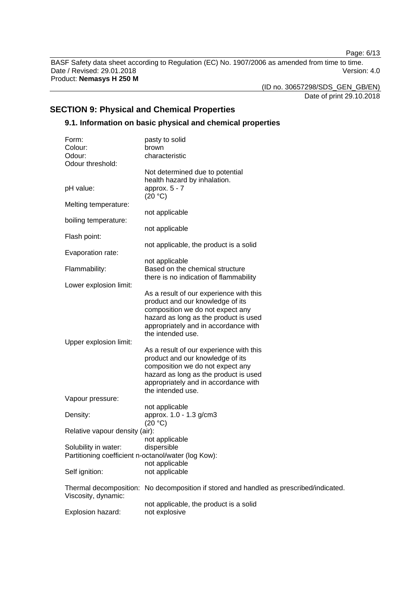Page: 6/13

BASF Safety data sheet according to Regulation (EC) No. 1907/2006 as amended from time to time. Date / Revised: 29.01.2018 **Version: 4.0** Product: **Nemasys H 250 M**

(ID no. 30657298/SDS\_GEN\_GB/EN)

Date of print 29.10.2018

# **SECTION 9: Physical and Chemical Properties**

# **9.1. Information on basic physical and chemical properties**

| Form:                                               | pasty to solid                                                                         |
|-----------------------------------------------------|----------------------------------------------------------------------------------------|
| Colour:                                             | brown                                                                                  |
| Odour:                                              | characteristic                                                                         |
| Odour threshold:                                    |                                                                                        |
|                                                     | Not determined due to potential                                                        |
|                                                     | health hazard by inhalation.                                                           |
| pH value:                                           | approx. $5 - 7$                                                                        |
|                                                     | (20 °C)                                                                                |
| Melting temperature:                                |                                                                                        |
| boiling temperature:                                | not applicable                                                                         |
|                                                     | not applicable                                                                         |
| Flash point:                                        |                                                                                        |
|                                                     | not applicable, the product is a solid                                                 |
| Evaporation rate:                                   |                                                                                        |
|                                                     | not applicable                                                                         |
| Flammability:                                       | Based on the chemical structure                                                        |
|                                                     | there is no indication of flammability                                                 |
| Lower explosion limit:                              |                                                                                        |
|                                                     | As a result of our experience with this                                                |
|                                                     | product and our knowledge of its                                                       |
|                                                     | composition we do not expect any                                                       |
|                                                     | hazard as long as the product is used                                                  |
|                                                     | appropriately and in accordance with                                                   |
|                                                     | the intended use.                                                                      |
| Upper explosion limit:                              |                                                                                        |
|                                                     | As a result of our experience with this                                                |
|                                                     | product and our knowledge of its                                                       |
|                                                     | composition we do not expect any                                                       |
|                                                     | hazard as long as the product is used                                                  |
|                                                     | appropriately and in accordance with                                                   |
|                                                     | the intended use.                                                                      |
| Vapour pressure:                                    |                                                                                        |
|                                                     | not applicable                                                                         |
| Density:                                            | approx. 1.0 - 1.3 g/cm3                                                                |
|                                                     | (20 °C)                                                                                |
| Relative vapour density (air):                      | not applicable                                                                         |
| Solubility in water:                                | dispersible                                                                            |
| Partitioning coefficient n-octanol/water (log Kow): |                                                                                        |
|                                                     | not applicable                                                                         |
| Self ignition:                                      | not applicable                                                                         |
|                                                     |                                                                                        |
|                                                     | Thermal decomposition: No decomposition if stored and handled as prescribed/indicated. |
| Viscosity, dynamic:                                 |                                                                                        |
|                                                     | not applicable, the product is a solid                                                 |
| Explosion hazard:                                   | not explosive                                                                          |
|                                                     |                                                                                        |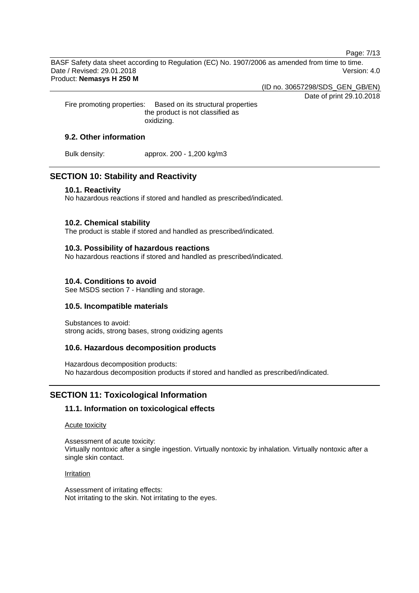Page: 7/13

BASF Safety data sheet according to Regulation (EC) No. 1907/2006 as amended from time to time. Date / Revised: 29.01.2018 Version: 4.0 Product: **Nemasys H 250 M**

(ID no. 30657298/SDS\_GEN\_GB/EN)

Date of print 29.10.2018

Fire promoting properties: Based on its structural properties the product is not classified as oxidizing.

# **9.2. Other information**

Bulk density: approx. 200 - 1,200 kg/m3

# **SECTION 10: Stability and Reactivity**

### **10.1. Reactivity**

No hazardous reactions if stored and handled as prescribed/indicated.

# **10.2. Chemical stability**

The product is stable if stored and handled as prescribed/indicated.

# **10.3. Possibility of hazardous reactions**

No hazardous reactions if stored and handled as prescribed/indicated.

# **10.4. Conditions to avoid**

See MSDS section 7 - Handling and storage.

# **10.5. Incompatible materials**

Substances to avoid: strong acids, strong bases, strong oxidizing agents

# **10.6. Hazardous decomposition products**

Hazardous decomposition products: No hazardous decomposition products if stored and handled as prescribed/indicated.

# **SECTION 11: Toxicological Information**

# **11.1. Information on toxicological effects**

#### Acute toxicity

Assessment of acute toxicity: Virtually nontoxic after a single ingestion. Virtually nontoxic by inhalation. Virtually nontoxic after a single skin contact.

#### Irritation

Assessment of irritating effects: Not irritating to the skin. Not irritating to the eyes.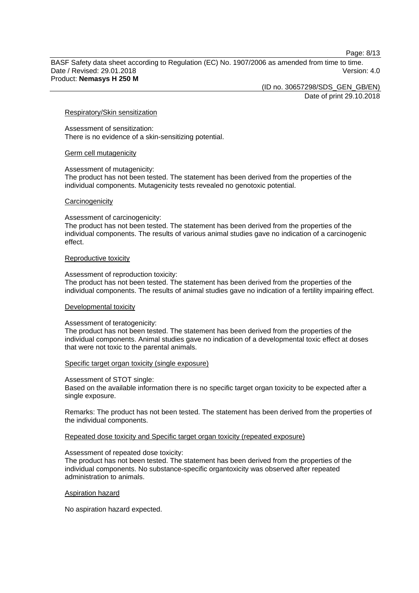Page: 8/13

BASF Safety data sheet according to Regulation (EC) No. 1907/2006 as amended from time to time. Date / Revised: 29.01.2018 Version: 4.0 Product: **Nemasys H 250 M**

(ID no. 30657298/SDS\_GEN\_GB/EN)

Date of print 29.10.2018

#### Respiratory/Skin sensitization

Assessment of sensitization: There is no evidence of a skin-sensitizing potential.

#### Germ cell mutagenicity

Assessment of mutagenicity:

The product has not been tested. The statement has been derived from the properties of the individual components. Mutagenicity tests revealed no genotoxic potential.

#### **Carcinogenicity**

Assessment of carcinogenicity:

The product has not been tested. The statement has been derived from the properties of the individual components. The results of various animal studies gave no indication of a carcinogenic effect.

#### Reproductive toxicity

Assessment of reproduction toxicity:

The product has not been tested. The statement has been derived from the properties of the individual components. The results of animal studies gave no indication of a fertility impairing effect.

#### Developmental toxicity

#### Assessment of teratogenicity:

The product has not been tested. The statement has been derived from the properties of the individual components. Animal studies gave no indication of a developmental toxic effect at doses that were not toxic to the parental animals.

#### Specific target organ toxicity (single exposure)

Assessment of STOT single:

Based on the available information there is no specific target organ toxicity to be expected after a single exposure.

Remarks: The product has not been tested. The statement has been derived from the properties of the individual components.

Repeated dose toxicity and Specific target organ toxicity (repeated exposure)

#### Assessment of repeated dose toxicity:

The product has not been tested. The statement has been derived from the properties of the individual components. No substance-specific organtoxicity was observed after repeated administration to animals.

#### Aspiration hazard

No aspiration hazard expected.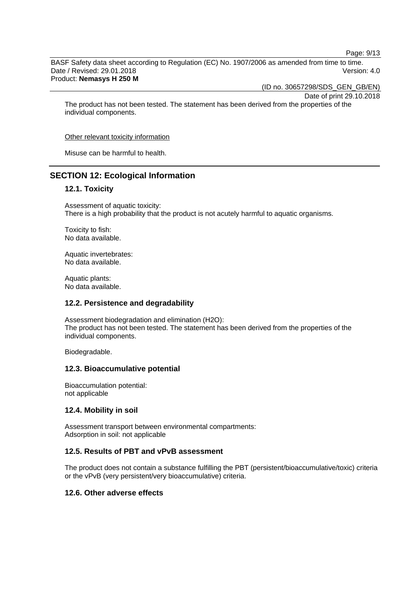Page: 9/13

BASF Safety data sheet according to Regulation (EC) No. 1907/2006 as amended from time to time. Date / Revised: 29.01.2018 Version: 4.0 Product: **Nemasys H 250 M**

(ID no. 30657298/SDS\_GEN\_GB/EN)

Date of print 29.10.2018

The product has not been tested. The statement has been derived from the properties of the individual components.

Other relevant toxicity information

Misuse can be harmful to health.

# **SECTION 12: Ecological Information**

### **12.1. Toxicity**

Assessment of aquatic toxicity: There is a high probability that the product is not acutely harmful to aquatic organisms.

Toxicity to fish: No data available.

Aquatic invertebrates: No data available.

Aquatic plants: No data available.

#### **12.2. Persistence and degradability**

Assessment biodegradation and elimination (H2O): The product has not been tested. The statement has been derived from the properties of the individual components.

Biodegradable.

#### **12.3. Bioaccumulative potential**

Bioaccumulation potential: not applicable

#### **12.4. Mobility in soil**

Assessment transport between environmental compartments: Adsorption in soil: not applicable

### **12.5. Results of PBT and vPvB assessment**

The product does not contain a substance fulfilling the PBT (persistent/bioaccumulative/toxic) criteria or the vPvB (very persistent/very bioaccumulative) criteria.

### **12.6. Other adverse effects**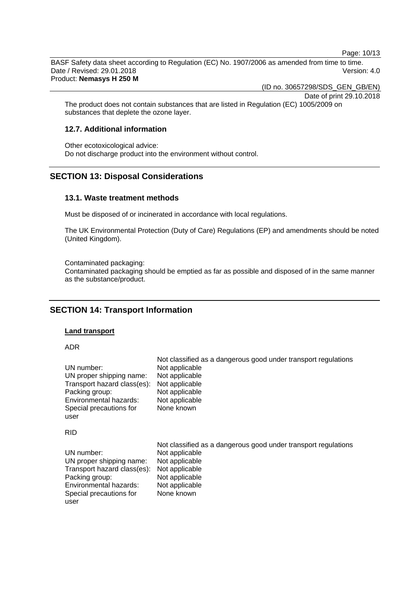Page: 10/13

BASF Safety data sheet according to Regulation (EC) No. 1907/2006 as amended from time to time. Date / Revised: 29.01.2018 Version: 4.0 Product: **Nemasys H 250 M**

(ID no. 30657298/SDS\_GEN\_GB/EN)

Date of print 29.10.2018

The product does not contain substances that are listed in Regulation (EC) 1005/2009 on substances that deplete the ozone layer.

# **12.7. Additional information**

Other ecotoxicological advice: Do not discharge product into the environment without control.

# **SECTION 13: Disposal Considerations**

#### **13.1. Waste treatment methods**

Must be disposed of or incinerated in accordance with local regulations.

The UK Environmental Protection (Duty of Care) Regulations (EP) and amendments should be noted (United Kingdom).

Contaminated packaging:

Contaminated packaging should be emptied as far as possible and disposed of in the same manner as the substance/product.

# **SECTION 14: Transport Information**

#### **Land transport**

ADR

| UN number:                  | Not classified as a dangerous good under transport regulations |
|-----------------------------|----------------------------------------------------------------|
| UN proper shipping name:    | Not applicable                                                 |
| Transport hazard class(es): | Not applicable                                                 |
| Packing group:              | Not applicable                                                 |
| Environmental hazards:      | Not applicable                                                 |
| Special precautions for     | Not applicable                                                 |
| user                        | None known                                                     |
| <b>RID</b>                  |                                                                |
| UN number:                  | Not classified as a dangerous good under transport regulations |
| UN proper shipping name:    | Not applicable                                                 |
| Transport hazard class(es): | Not applicable                                                 |
| Packing group:              | Not applicable                                                 |
| Environmental hazards:      | Not applicable                                                 |
| Special precautions for     | Not applicable                                                 |
| user                        | None known                                                     |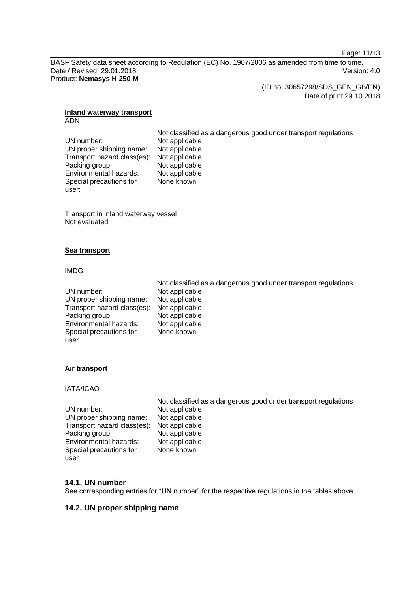Page: 11/13

BASF Safety data sheet according to Regulation (EC) No. 1907/2006 as amended from time to time. Date / Revised: 29.01.2018 Version: 4.0 Product: **Nemasys H 250 M**

(ID no. 30657298/SDS\_GEN\_GB/EN) Date of print 29.10.2018

#### **Inland waterway transport** ADN

Not classified as a dangerous good under transport regulations UN number: Not applicable<br>UN proper shipping name: Not applicable UN proper shipping name: Transport hazard class(es): Not applicable Packing group: Not applicable<br>
Environmental hazards: Not applicable Environmental hazards: Special precautions for None known

Transport in inland waterway vessel Not evaluated

# **Sea transport**

### IMDG

user:

|                                            | Not classified as a dangerous good under transport regulations |
|--------------------------------------------|----------------------------------------------------------------|
| UN number:                                 | Not applicable                                                 |
| UN proper shipping name:                   | Not applicable                                                 |
| Transport hazard class(es): Not applicable |                                                                |
| Packing group:                             | Not applicable                                                 |
| Environmental hazards:                     | Not applicable                                                 |
| Special precautions for                    | None known                                                     |
| user                                       |                                                                |

# **Air transport**

# IATA/ICAO

|                                            | Not classified as a dangerous good under transport regulations |
|--------------------------------------------|----------------------------------------------------------------|
| UN number:                                 | Not applicable                                                 |
| UN proper shipping name:                   | Not applicable                                                 |
| Transport hazard class(es): Not applicable |                                                                |
| Packing group:                             | Not applicable                                                 |
| Environmental hazards:                     | Not applicable                                                 |
| Special precautions for                    | None known                                                     |
| user                                       |                                                                |

# **14.1. UN number**

See corresponding entries for "UN number" for the respective regulations in the tables above.

# **14.2. UN proper shipping name**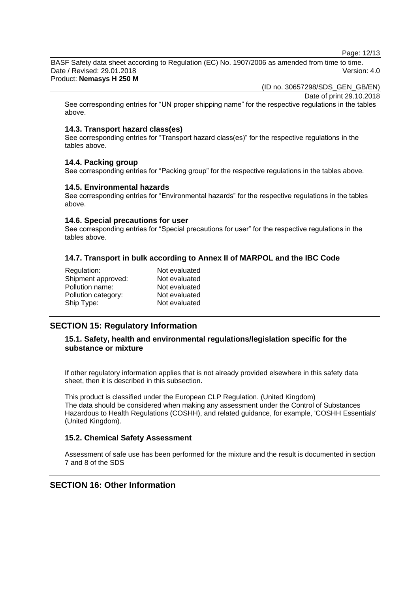Page: 12/13

BASF Safety data sheet according to Regulation (EC) No. 1907/2006 as amended from time to time. Date / Revised: 29.01.2018 Version: 4.0 Product: **Nemasys H 250 M**

(ID no. 30657298/SDS\_GEN\_GB/EN)

Date of print 29.10.2018

See corresponding entries for "UN proper shipping name" for the respective regulations in the tables above.

### **14.3. Transport hazard class(es)**

See corresponding entries for "Transport hazard class(es)" for the respective regulations in the tables above.

#### **14.4. Packing group**

See corresponding entries for "Packing group" for the respective regulations in the tables above.

#### **14.5. Environmental hazards**

See corresponding entries for "Environmental hazards" for the respective regulations in the tables above.

#### **14.6. Special precautions for user**

See corresponding entries for "Special precautions for user" for the respective regulations in the tables above.

# **14.7. Transport in bulk according to Annex II of MARPOL and the IBC Code**

| Regulation:         | Not evaluated |
|---------------------|---------------|
| Shipment approved:  | Not evaluated |
| Pollution name:     | Not evaluated |
| Pollution category: | Not evaluated |
| Ship Type:          | Not evaluated |
|                     |               |

# **SECTION 15: Regulatory Information**

# **15.1. Safety, health and environmental regulations/legislation specific for the substance or mixture**

If other regulatory information applies that is not already provided elsewhere in this safety data sheet, then it is described in this subsection.

This product is classified under the European CLP Regulation. (United Kingdom) The data should be considered when making any assessment under the Control of Substances Hazardous to Health Regulations (COSHH), and related guidance, for example, 'COSHH Essentials' (United Kingdom).

# **15.2. Chemical Safety Assessment**

Assessment of safe use has been performed for the mixture and the result is documented in section 7 and 8 of the SDS

# **SECTION 16: Other Information**